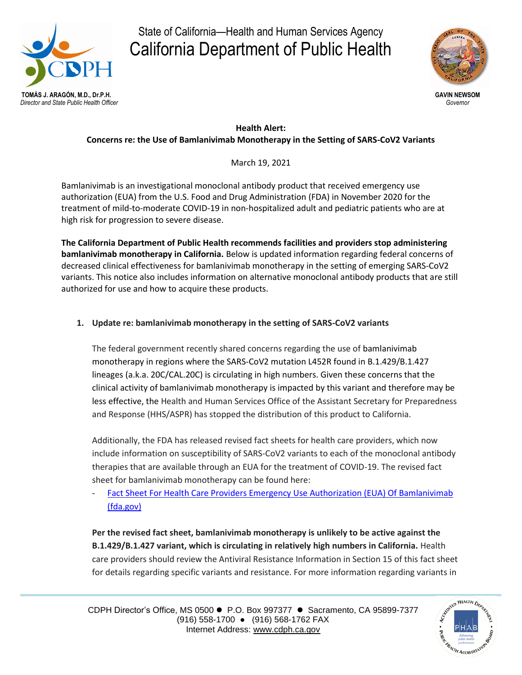

# State of California—Health and Human Services Agency California Department of Public Health



### **Health Alert: Concerns re: the Use of Bamlanivimab Monotherapy in the Setting of SARS-CoV2 Variants**

March 19, 2021

Bamlanivimab is an investigational monoclonal antibody product that received emergency use authorization (EUA) from the U.S. Food and Drug Administration (FDA) in November 2020 for the treatment of mild-to-moderate COVID-19 in non-hospitalized adult and pediatric patients who are at high risk for progression to severe disease.

**The California Department of Public Health recommends facilities and providers stop administering bamlanivimab monotherapy in California.** Below is updated information regarding federal concerns of decreased clinical effectiveness for bamlanivimab monotherapy in the setting of emerging SARS-CoV2 variants. This notice also includes information on alternative monoclonal antibody products that are still authorized for use and how to acquire these products.

## **1. Update re: bamlanivimab monotherapy in the setting of SARS-CoV2 variants**

The federal government recently shared concerns regarding the use of bamlanivimab monotherapy in regions where the SARS-CoV2 mutation L452R found in B.1.429/B.1.427 lineages (a.k.a. 20C/CAL.20C) is circulating in high numbers. Given these concerns that the clinical activity of bamlanivimab monotherapy is impacted by this variant and therefore may be less effective, the Health and Human Services Office of the Assistant Secretary for Preparedness and Response (HHS/ASPR) has stopped the distribution of this product to California.

Additionally, the FDA has released revised fact sheets for health care providers, which now include information on susceptibility of SARS-CoV2 variants to each of the monoclonal antibody therapies that are available through an EUA for the treatment of COVID-19. The revised fact sheet for bamlanivimab monotherapy can be found here:

- [Fact Sheet For Health Care Providers Emergency Use Authorization \(EUA\) Of Bamlanivimab](https://www.fda.gov/media/143603/download)  [\(fda.gov\)](https://www.fda.gov/media/143603/download)

**Per the revised fact sheet, bamlanivimab monotherapy is unlikely to be active against the B.1.429/B.1.427 variant, which is circulating in relatively high numbers in California.** Health care providers should review the Antiviral Resistance Information in Section 15 of this fact sheet for details regarding specific variants and resistance. For more information regarding variants in

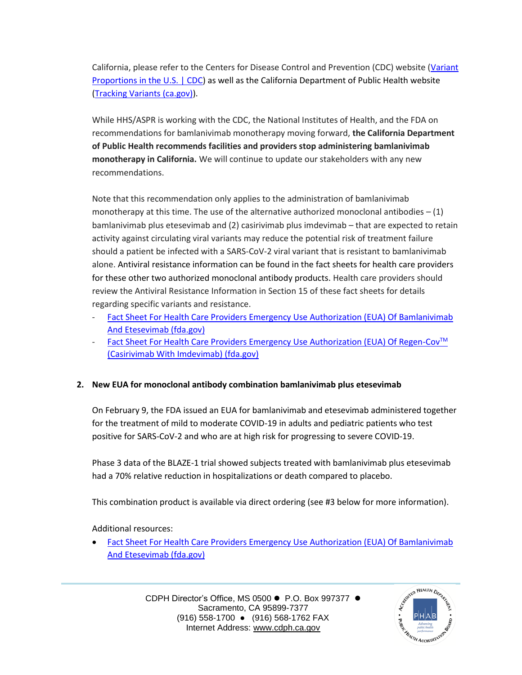California, please refer to the Centers for Disease Control and Prevention (CDC) website [\(Variant](https://www.cdc.gov/coronavirus/2019-ncov/cases-updates/variant-proportions.html)  [Proportions in the U.S. | CDC\)](https://www.cdc.gov/coronavirus/2019-ncov/cases-updates/variant-proportions.html) as well as the California Department of Public Health website [\(Tracking Variants \(ca.gov\)\)](https://www.cdph.ca.gov/Programs/CID/DCDC/Pages/COVID-19/COVID-Variants.aspx).

While HHS/ASPR is working with the CDC, the National Institutes of Health, and the FDA on recommendations for bamlanivimab monotherapy moving forward, **the California Department of Public Health recommends facilities and providers stop administering bamlanivimab monotherapy in California.** We will continue to update our stakeholders with any new recommendations.

Note that this recommendation only applies to the administration of bamlanivimab monotherapy at this time. The use of the alternative authorized monoclonal antibodies  $- (1)$ bamlanivimab plus etesevimab and (2) casirivimab plus imdevimab – that are expected to retain activity against circulating viral variants may reduce the potential risk of treatment failure should a patient be infected with a SARS-CoV-2 viral variant that is resistant to bamlanivimab alone. Antiviral resistance information can be found in the fact sheets for health care providers for these other two authorized monoclonal antibody products. Health care providers should review the Antiviral Resistance Information in Section 15 of these fact sheets for details regarding specific variants and resistance.

- [Fact Sheet For Health Care Providers Emergency Use Authorization \(EUA\) Of Bamlanivimab](https://www.fda.gov/media/145802/download)  [And Etesevimab \(fda.gov\)](https://www.fda.gov/media/145802/download)
- [Fact Sheet For Health Care Providers Emergency Use Authorization \(EUA\) Of Regen-Cov](https://www.fda.gov/media/145611/download)<sup>™</sup> [\(Casirivimab With Imdevimab\) \(fda.gov\)](https://www.fda.gov/media/145611/download)

## **2. New EUA for monoclonal antibody combination bamlanivimab plus etesevimab**

On February 9, the FDA issued an EUA for bamlanivimab and etesevimab administered together for the treatment of mild to moderate COVID-19 in adults and pediatric patients who test positive for SARS-CoV-2 and who are at high risk for progressing to severe COVID-19.

Phase 3 data of the BLAZE-1 trial showed subjects treated with bamlanivimab plus etesevimab had a 70% relative reduction in hospitalizations or death compared to placebo.

This combination product is available via direct ordering (see #3 below for more information).

Additional resources:

 [Fact Sheet For Health Care Providers Emergency Use Authorization \(EUA\) Of Bamlanivimab](https://www.fda.gov/media/145802/download)  [And Etesevimab \(fda.gov\)](https://www.fda.gov/media/145802/download)

> CDPH Director's Office, MS 0500 ● P.O. Box 997377 ● Sacramento, CA 95899-7377 (916) 558-1700 ● (916) 568-1762 FAX Internet Address: [www.cdph.ca.gov](http://www.cdph.ca.gov/)

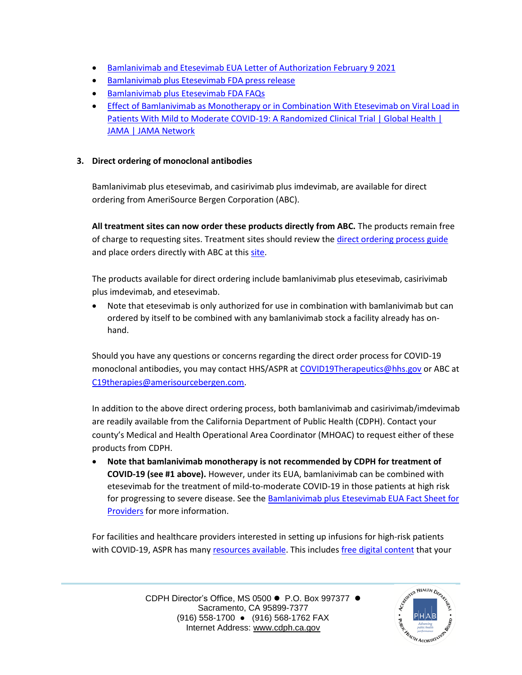- **•** [Bamlanivimab and Etesevimab EUA Letter of Authorization February 9 2021](https://www.fda.gov/media/145801/download)
- [Bamlanivimab plus Etesevimab FDA press release](https://gcc02.safelinks.protection.outlook.com/?url=https%3A%2F%2Fwww.fda.gov%2Fnews-events%2Fpress-announcements%2Fcoronavirus-covid-19-update-fda-authorizes-monoclonal-antibodies-treatment-covid-19-0%3Futm_medium%3Demail%26utm_source%3Dgovdelivery&data=04%7C01%7CSohrab.Sidhu%40dhcs.ca.gov%7Ce8091e5a457b4242178d08d8cde24d32%7C265c2dcd2a6e43aab2e826421a8c8526%7C0%7C0%7C637485719129592243%7CUnknown%7CTWFpbGZsb3d8eyJWIjoiMC4wLjAwMDAiLCJQIjoiV2luMzIiLCJBTiI6Ik1haWwiLCJXVCI6Mn0%3D%7C1000&sdata=MLxCln2mDbSHyhUaszQm93PZRBeir1PRzuPTDi27zj8%3D&reserved=0)
- **[Bamlanivimab plus Etesevimab FDA FAQs](https://gcc02.safelinks.protection.outlook.com/?url=https%3A%2F%2Fwww.fda.gov%2Fmedia%2F145808%2Fdownload&data=04%7C01%7CSohrab.Sidhu%40dhcs.ca.gov%7Ce8091e5a457b4242178d08d8cde24d32%7C265c2dcd2a6e43aab2e826421a8c8526%7C0%7C0%7C637485719129602196%7CUnknown%7CTWFpbGZsb3d8eyJWIjoiMC4wLjAwMDAiLCJQIjoiV2luMzIiLCJBTiI6Ik1haWwiLCJXVCI6Mn0%3D%7C1000&sdata=Lwb2sx%2BT3FQ1yBukzTqtVjp9ddKqdEFsfZkIT7Z5nvA%3D&reserved=0)**
- **Effect of Bamlanivimab as Monotherapy or in Combination With Etesevimab on Viral Load in** Patients With Mild to Moderate COVID-19: A Randomized Clinical Trial | Global Health | [JAMA | JAMA Network](https://jamanetwork.com/journals/jama/fullarticle/2775647)

## **3. Direct ordering of monoclonal antibodies**

Bamlanivimab plus etesevimab, and casirivimab plus imdevimab, are available for direct ordering from AmeriSource Bergen Corporation (ABC).

**All treatment sites can now order these products directly from ABC.** The products remain free of charge to requesting sites. Treatment sites should review the [direct ordering process guide](https://gcc02.safelinks.protection.outlook.com/?url=https%3A%2F%2Fprotect2.fireeye.com%2Fv1%2Furl%3Fk%3D62ecc56b-3d77fdbf-62ecf454-0cc47a6d17cc-9f3f135d9238b7f1%26q%3D1%26e%3D71e7b24a-871f-4b53-97cd-ab385338c884%26u%3Dhttps%253A%252F%252Fwww.phe.gov%252Femergency%252Fevents%252FCOVID19%252Finvestigation-MCM%252FDocuments%252FOverview%252520of%252520direct%252520order%252520process%252520Fact%252520Sheet-508.pdf&data=04%7C01%7CSohrab.Sidhu%40dhcs.ca.gov%7C00ce91576c3647aefa3e08d8d73875b2%7C265c2dcd2a6e43aab2e826421a8c8526%7C0%7C0%7C637495984907359493%7CUnknown%7CTWFpbGZsb3d8eyJWIjoiMC4wLjAwMDAiLCJQIjoiV2luMzIiLCJBTiI6Ik1haWwiLCJXVCI6Mn0%3D%7C1000&sdata=%2F1dn3tAP%2FYXRkcsY01VXtfupTaHjwWdFzfMp2wkql3Y%3D&reserved=0) and place orders directly with ABC at this [site.](https://gcc02.safelinks.protection.outlook.com/?url=https%3A%2F%2Fapp.smartsheet.com%2Fb%2Fform%2F255d164d67834793b4ab549e160941e8&data=04%7C01%7CSohrab.Sidhu%40dhcs.ca.gov%7C00ce91576c3647aefa3e08d8d73875b2%7C265c2dcd2a6e43aab2e826421a8c8526%7C0%7C0%7C637495984907359493%7CUnknown%7CTWFpbGZsb3d8eyJWIjoiMC4wLjAwMDAiLCJQIjoiV2luMzIiLCJBTiI6Ik1haWwiLCJXVCI6Mn0%3D%7C1000&sdata=SRLyxRRY3EzG0rExqhmBIKD06stmnKGg4ceardnryJU%3D&reserved=0)

The products available for direct ordering include bamlanivimab plus etesevimab, casirivimab plus imdevimab, and etesevimab.

 Note that etesevimab is only authorized for use in combination with bamlanivimab but can ordered by itself to be combined with any bamlanivimab stock a facility already has onhand.

Should you have any questions or concerns regarding the direct order process for COVID-19 monoclonal antibodies, you may contact HHS/ASPR at [COVID19Therapeutics@hhs.gov](mailto:COVID19Therapeutics@hhs.gov) or ABC at [C19therapies@amerisourcebergen.com.](mailto:C19therapies@amerisourcebergen.com)

In addition to the above direct ordering process, both bamlanivimab and casirivimab/imdevimab are readily available from the California Department of Public Health (CDPH). Contact your county's Medical and Health Operational Area Coordinator (MHOAC) to request either of these products from CDPH.

 **Note that bamlanivimab monotherapy is not recommended by CDPH for treatment of COVID-19 (see #1 above).** However, under its EUA, bamlanivimab can be combined with etesevimab for the treatment of mild-to-moderate COVID-19 in those patients at high risk for progressing to severe disease. See the **Bamlanivimab plus Etesevimab EUA Fact Sheet for** [Providers](https://www.fda.gov/media/145802/download) for more information.

For facilities and healthcare providers interested in setting up infusions for high-risk patients with COVID-19, ASPR has man[y resources available.](https://gcc02.safelinks.protection.outlook.com/?url=https%3A%2F%2Fwww.phe.gov%2Femergency%2Fevents%2FCOVID19%2Ftherapeutics%2FPages%2FDistribution.aspx&data=04%7C01%7CSohrab.Sidhu%40dhcs.ca.gov%7C00ce91576c3647aefa3e08d8d73875b2%7C265c2dcd2a6e43aab2e826421a8c8526%7C0%7C0%7C637495984907369452%7CUnknown%7CTWFpbGZsb3d8eyJWIjoiMC4wLjAwMDAiLCJQIjoiV2luMzIiLCJBTiI6Ik1haWwiLCJXVCI6Mn0%3D%7C1000&sdata=CB3vFmChEh9f4RPeVtb9Q83BlrX214LyZMZPT141YCc%3D&reserved=0) This includes [free digital content](https://gcc02.safelinks.protection.outlook.com/?url=https%3A%2F%2Fwww.phe.gov%2Femergency%2Fevents%2FCOVID19%2Ftherapeutics%2Ftoolkit%2FPages%2Fdefault.aspx&data=04%7C01%7CSohrab.Sidhu%40dhcs.ca.gov%7C00ce91576c3647aefa3e08d8d73875b2%7C265c2dcd2a6e43aab2e826421a8c8526%7C0%7C0%7C637495984907369452%7CUnknown%7CTWFpbGZsb3d8eyJWIjoiMC4wLjAwMDAiLCJQIjoiV2luMzIiLCJBTiI6Ik1haWwiLCJXVCI6Mn0%3D%7C1000&sdata=bXWJ0jnqxX5%2FhDJS8e7%2FdfWFWAdlDdpHHNU0PtSRw%2Bw%3D&reserved=0) that your

> CDPH Director's Office, MS 0500 ● P.O. Box 997377 ● Sacramento, CA 95899-7377 (916) 558-1700 ● (916) 568-1762 FAX Internet Address: [www.cdph.ca.gov](http://www.cdph.ca.gov/)